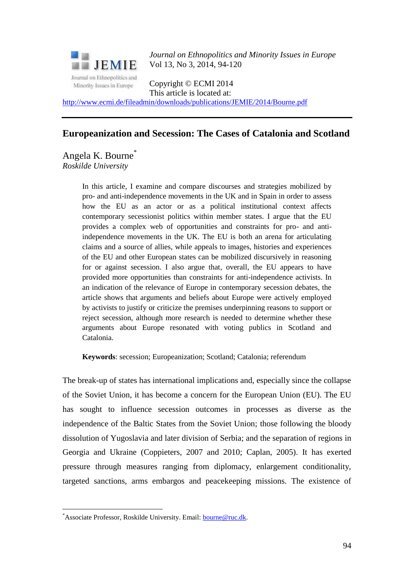

*Journal on Ethnopolitics and Minority Issues in Europe* Vol 13, No 3, 2014, 94-120

Copyright © ECMI 2014 This article is located at:

<http://www.ecmi.de/fileadmin/downloads/publications/JEMIE/2014/Bourne.pdf>

# **Europeanization and Secession: The Cases of Catalonia and Scotland**

Angela K. Bourne\* *Roskilde University*

> In this article, I examine and compare discourses and strategies mobilized by pro- and anti-independence movements in the UK and in Spain in order to assess how the EU as an actor or as a political institutional context affects contemporary secessionist politics within member states. I argue that the EU provides a complex web of opportunities and constraints for pro- and antiindependence movements in the UK. The EU is both an arena for articulating claims and a source of allies, while appeals to images, histories and experiences of the EU and other European states can be mobilized discursively in reasoning for or against secession. I also argue that, overall, the EU appears to have provided more opportunities than constraints for anti-independence activists. In an indication of the relevance of Europe in contemporary secession debates, the article shows that arguments and beliefs about Europe were actively employed by activists to justify or criticize the premises underpinning reasons to support or reject secession, although more research is needed to determine whether these arguments about Europe resonated with voting publics in Scotland and Catalonia.

**Keywords**: secession; Europeanization; Scotland; Catalonia; referendum

The break-up of states has international implications and, especially since the collapse of the Soviet Union, it has become a concern for the European Union (EU). The EU has sought to influence secession outcomes in processes as diverse as the independence of the Baltic States from the Soviet Union; those following the bloody dissolution of Yugoslavia and later division of Serbia; and the separation of regions in Georgia and Ukraine (Coppieters, 2007 and 2010; Caplan, 2005). It has exerted pressure through measures ranging from diplomacy, enlargement conditionality, targeted sanctions, arms embargos and peacekeeping missions. The existence of

1

<sup>\*</sup>Associate Professor, Roskilde University. Email: [bourne@ruc.dk.](mailto:bourne@ruc.dk)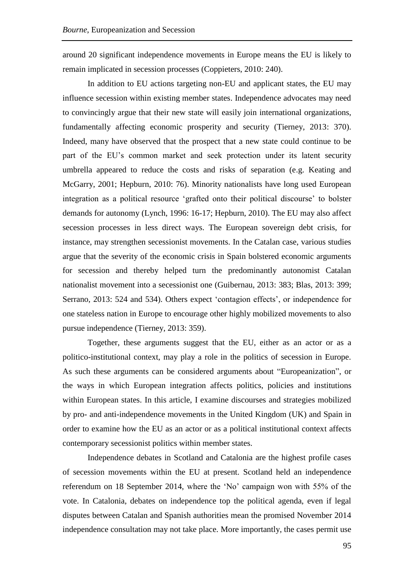around 20 significant independence movements in Europe means the EU is likely to remain implicated in secession processes (Coppieters, 2010: 240).

In addition to EU actions targeting non-EU and applicant states, the EU may influence secession within existing member states. Independence advocates may need to convincingly argue that their new state will easily join international organizations, fundamentally affecting economic prosperity and security (Tierney, 2013: 370). Indeed, many have observed that the prospect that a new state could continue to be part of the EU's common market and seek protection under its latent security umbrella appeared to reduce the costs and risks of separation (e.g. Keating and McGarry, 2001; Hepburn, 2010: 76). Minority nationalists have long used European integration as a political resource 'grafted onto their political discourse' to bolster demands for autonomy (Lynch, 1996: 16-17; Hepburn, 2010). The EU may also affect secession processes in less direct ways. The European sovereign debt crisis, for instance, may strengthen secessionist movements. In the Catalan case, various studies argue that the severity of the economic crisis in Spain bolstered economic arguments for secession and thereby helped turn the predominantly autonomist Catalan nationalist movement into a secessionist one (Guibernau, 2013: 383; Blas, 2013: 399; Serrano, 2013: 524 and 534). Others expect 'contagion effects', or independence for one stateless nation in Europe to encourage other highly mobilized movements to also pursue independence (Tierney, 2013: 359).

Together, these arguments suggest that the EU, either as an actor or as a politico-institutional context, may play a role in the politics of secession in Europe. As such these arguments can be considered arguments about "Europeanization", or the ways in which European integration affects politics, policies and institutions within European states. In this article, I examine discourses and strategies mobilized by pro- and anti-independence movements in the United Kingdom (UK) and Spain in order to examine how the EU as an actor or as a political institutional context affects contemporary secessionist politics within member states.

Independence debates in Scotland and Catalonia are the highest profile cases of secession movements within the EU at present. Scotland held an independence referendum on 18 September 2014, where the 'No' campaign won with 55% of the vote. In Catalonia, debates on independence top the political agenda, even if legal disputes between Catalan and Spanish authorities mean the promised November 2014 independence consultation may not take place. More importantly, the cases permit use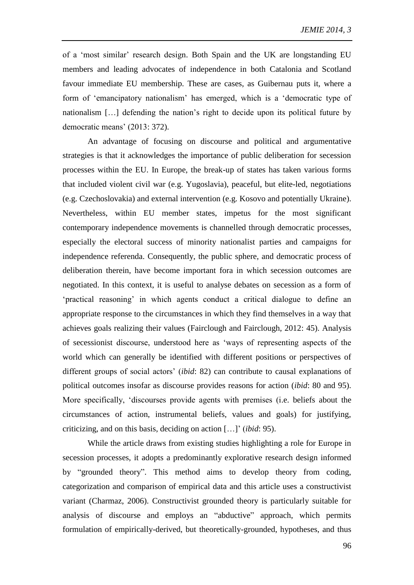of a 'most similar' research design. Both Spain and the UK are longstanding EU members and leading advocates of independence in both Catalonia and Scotland favour immediate EU membership. These are cases, as Guibernau puts it, where a form of 'emancipatory nationalism' has emerged, which is a 'democratic type of nationalism […] defending the nation's right to decide upon its political future by democratic means' (2013: 372).

An advantage of focusing on discourse and political and argumentative strategies is that it acknowledges the importance of public deliberation for secession processes within the EU. In Europe, the break-up of states has taken various forms that included violent civil war (e.g. Yugoslavia), peaceful, but elite-led, negotiations (e.g. Czechoslovakia) and external intervention (e.g. Kosovo and potentially Ukraine). Nevertheless, within EU member states, impetus for the most significant contemporary independence movements is channelled through democratic processes, especially the electoral success of minority nationalist parties and campaigns for independence referenda. Consequently, the public sphere, and democratic process of deliberation therein, have become important fora in which secession outcomes are negotiated. In this context, it is useful to analyse debates on secession as a form of 'practical reasoning' in which agents conduct a critical dialogue to define an appropriate response to the circumstances in which they find themselves in a way that achieves goals realizing their values (Fairclough and Fairclough, 2012: 45). Analysis of secessionist discourse, understood here as 'ways of representing aspects of the world which can generally be identified with different positions or perspectives of different groups of social actors' (*ibid*: 82) can contribute to causal explanations of political outcomes insofar as discourse provides reasons for action (*ibid*: 80 and 95). More specifically, 'discourses provide agents with premises (i.e. beliefs about the circumstances of action, instrumental beliefs, values and goals) for justifying, criticizing, and on this basis, deciding on action […]' (*ibid*: 95).

While the article draws from existing studies highlighting a role for Europe in secession processes, it adopts a predominantly explorative research design informed by "grounded theory". This method aims to develop theory from coding, categorization and comparison of empirical data and this article uses a constructivist variant (Charmaz, 2006). Constructivist grounded theory is particularly suitable for analysis of discourse and employs an "abductive" approach, which permits formulation of empirically-derived, but theoretically-grounded, hypotheses, and thus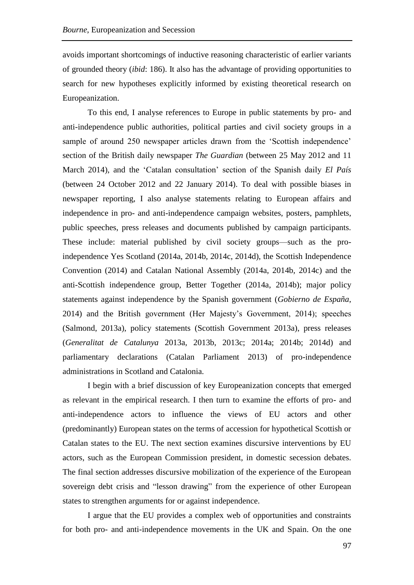avoids important shortcomings of inductive reasoning characteristic of earlier variants of grounded theory (*ibid*: 186). It also has the advantage of providing opportunities to search for new hypotheses explicitly informed by existing theoretical research on Europeanization.

To this end, I analyse references to Europe in public statements by pro- and anti-independence public authorities, political parties and civil society groups in a sample of around 250 newspaper articles drawn from the 'Scottish independence' section of the British daily newspaper *The Guardian* (between 25 May 2012 and 11 March 2014), and the 'Catalan consultation' section of the Spanish daily *El País* (between 24 October 2012 and 22 January 2014). To deal with possible biases in newspaper reporting, I also analyse statements relating to European affairs and independence in pro- and anti-independence campaign websites, posters, pamphlets, public speeches, press releases and documents published by campaign participants. These include: material published by civil society groups—such as the proindependence Yes Scotland (2014a, 2014b, 2014c, 2014d), the Scottish Independence Convention (2014) and Catalan National Assembly (2014a, 2014b, 2014c) and the anti-Scottish independence group, Better Together (2014a, 2014b); major policy statements against independence by the Spanish government (*Gobierno de España*, 2014) and the British government (Her Majesty's Government, 2014); speeches (Salmond, 2013a), policy statements (Scottish Government 2013a), press releases (*Generalitat de Catalunya* 2013a, 2013b, 2013c; 2014a; 2014b; 2014d) and parliamentary declarations (Catalan Parliament 2013) of pro-independence administrations in Scotland and Catalonia.

I begin with a brief discussion of key Europeanization concepts that emerged as relevant in the empirical research. I then turn to examine the efforts of pro- and anti-independence actors to influence the views of EU actors and other (predominantly) European states on the terms of accession for hypothetical Scottish or Catalan states to the EU. The next section examines discursive interventions by EU actors, such as the European Commission president, in domestic secession debates. The final section addresses discursive mobilization of the experience of the European sovereign debt crisis and "lesson drawing" from the experience of other European states to strengthen arguments for or against independence.

I argue that the EU provides a complex web of opportunities and constraints for both pro- and anti-independence movements in the UK and Spain. On the one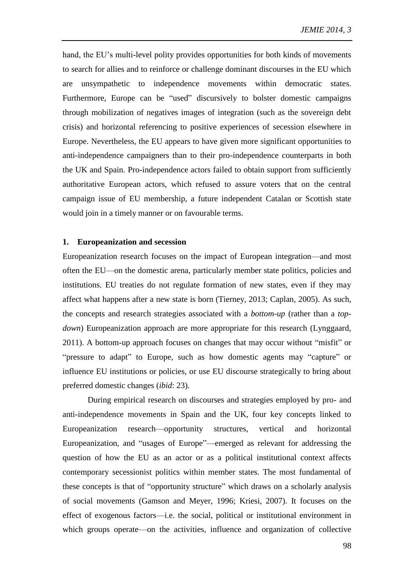hand, the EU's multi-level polity provides opportunities for both kinds of movements to search for allies and to reinforce or challenge dominant discourses in the EU which are unsympathetic to independence movements within democratic states. Furthermore, Europe can be "used" discursively to bolster domestic campaigns through mobilization of negatives images of integration (such as the sovereign debt crisis) and horizontal referencing to positive experiences of secession elsewhere in Europe. Nevertheless, the EU appears to have given more significant opportunities to anti-independence campaigners than to their pro-independence counterparts in both the UK and Spain. Pro-independence actors failed to obtain support from sufficiently authoritative European actors, which refused to assure voters that on the central campaign issue of EU membership, a future independent Catalan or Scottish state would join in a timely manner or on favourable terms.

### **1. Europeanization and secession**

Europeanization research focuses on the impact of European integration—and most often the EU—on the domestic arena, particularly member state politics, policies and institutions. EU treaties do not regulate formation of new states, even if they may affect what happens after a new state is born (Tierney, 2013; Caplan, 2005). As such, the concepts and research strategies associated with a *bottom-up* (rather than a *topdown*) Europeanization approach are more appropriate for this research (Lynggaard, 2011). A bottom-up approach focuses on changes that may occur without "misfit" or "pressure to adapt" to Europe, such as how domestic agents may "capture" or influence EU institutions or policies, or use EU discourse strategically to bring about preferred domestic changes (*ibid*: 23).

During empirical research on discourses and strategies employed by pro- and anti-independence movements in Spain and the UK, four key concepts linked to Europeanization research—opportunity structures, vertical and horizontal Europeanization, and "usages of Europe"—emerged as relevant for addressing the question of how the EU as an actor or as a political institutional context affects contemporary secessionist politics within member states. The most fundamental of these concepts is that of "opportunity structure" which draws on a scholarly analysis of social movements (Gamson and Meyer, 1996; Kriesi, 2007). It focuses on the effect of exogenous factors—i.e. the social, political or institutional environment in which groups operate—on the activities, influence and organization of collective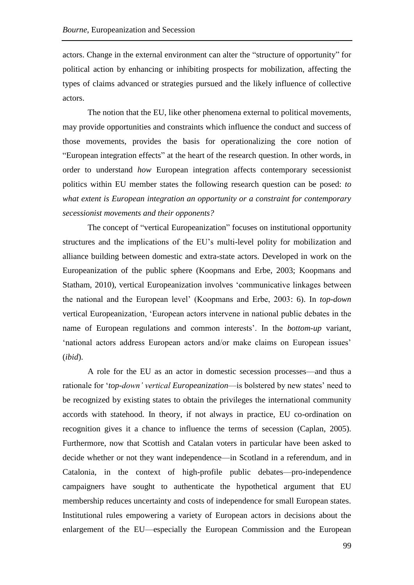actors. Change in the external environment can alter the "structure of opportunity" for political action by enhancing or inhibiting prospects for mobilization, affecting the types of claims advanced or strategies pursued and the likely influence of collective actors.

The notion that the EU, like other phenomena external to political movements, may provide opportunities and constraints which influence the conduct and success of those movements, provides the basis for operationalizing the core notion of "European integration effects" at the heart of the research question. In other words, in order to understand *how* European integration affects contemporary secessionist politics within EU member states the following research question can be posed: *to what extent is European integration an opportunity or a constraint for contemporary secessionist movements and their opponents?*

The concept of "vertical Europeanization" focuses on institutional opportunity structures and the implications of the EU's multi-level polity for mobilization and alliance building between domestic and extra-state actors. Developed in work on the Europeanization of the public sphere (Koopmans and Erbe, 2003; Koopmans and Statham, 2010), vertical Europeanization involves 'communicative linkages between the national and the European level' (Koopmans and Erbe, 2003: 6). In *top-down* vertical Europeanization, 'European actors intervene in national public debates in the name of European regulations and common interests'. In the *bottom-up* variant, 'national actors address European actors and/or make claims on European issues' (*ibid*).

A role for the EU as an actor in domestic secession processes—and thus a rationale for '*top-down' vertical Europeanization*—is bolstered by new states' need to be recognized by existing states to obtain the privileges the international community accords with statehood. In theory, if not always in practice, EU co-ordination on recognition gives it a chance to influence the terms of secession (Caplan, 2005). Furthermore, now that Scottish and Catalan voters in particular have been asked to decide whether or not they want independence—in Scotland in a referendum, and in Catalonia, in the context of high-profile public debates—pro-independence campaigners have sought to authenticate the hypothetical argument that EU membership reduces uncertainty and costs of independence for small European states. Institutional rules empowering a variety of European actors in decisions about the enlargement of the EU—especially the European Commission and the European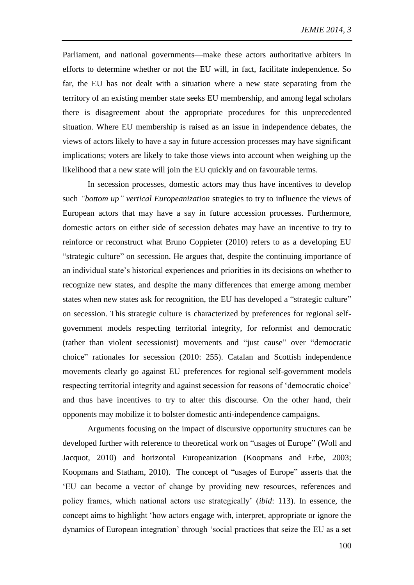Parliament, and national governments—make these actors authoritative arbiters in efforts to determine whether or not the EU will, in fact, facilitate independence. So far, the EU has not dealt with a situation where a new state separating from the territory of an existing member state seeks EU membership, and among legal scholars there is disagreement about the appropriate procedures for this unprecedented situation. Where EU membership is raised as an issue in independence debates, the views of actors likely to have a say in future accession processes may have significant implications; voters are likely to take those views into account when weighing up the likelihood that a new state will join the EU quickly and on favourable terms.

In secession processes, domestic actors may thus have incentives to develop such *"bottom up" vertical Europeanization* strategies to try to influence the views of European actors that may have a say in future accession processes. Furthermore, domestic actors on either side of secession debates may have an incentive to try to reinforce or reconstruct what Bruno Coppieter (2010) refers to as a developing EU "strategic culture" on secession. He argues that, despite the continuing importance of an individual state's historical experiences and priorities in its decisions on whether to recognize new states, and despite the many differences that emerge among member states when new states ask for recognition, the EU has developed a "strategic culture" on secession. This strategic culture is characterized by preferences for regional selfgovernment models respecting territorial integrity, for reformist and democratic (rather than violent secessionist) movements and "just cause" over "democratic choice" rationales for secession (2010: 255). Catalan and Scottish independence movements clearly go against EU preferences for regional self-government models respecting territorial integrity and against secession for reasons of 'democratic choice' and thus have incentives to try to alter this discourse. On the other hand, their opponents may mobilize it to bolster domestic anti-independence campaigns.

Arguments focusing on the impact of discursive opportunity structures can be developed further with reference to theoretical work on "usages of Europe" (Woll and Jacquot, 2010) and horizontal Europeanization (Koopmans and Erbe, 2003; Koopmans and Statham, 2010). The concept of "usages of Europe" asserts that the 'EU can become a vector of change by providing new resources, references and policy frames, which national actors use strategically' (*ibid*: 113). In essence, the concept aims to highlight 'how actors engage with, interpret, appropriate or ignore the dynamics of European integration' through 'social practices that seize the EU as a set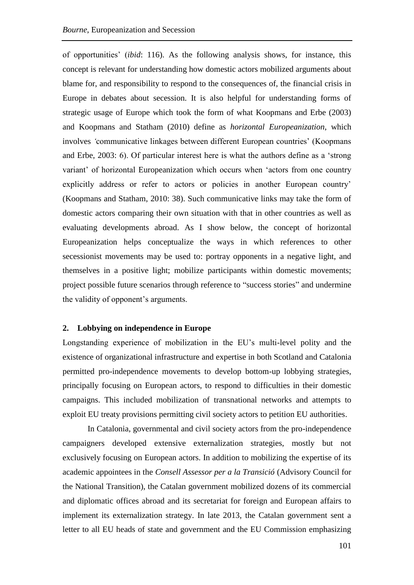of opportunities' (*ibid*: 116). As the following analysis shows, for instance, this concept is relevant for understanding how domestic actors mobilized arguments about blame for, and responsibility to respond to the consequences of, the financial crisis in Europe in debates about secession. It is also helpful for understanding forms of strategic usage of Europe which took the form of what Koopmans and Erbe (2003) and Koopmans and Statham (2010) define as *horizontal Europeanization*, which involves *'*communicative linkages between different European countries' (Koopmans and Erbe, 2003: 6). Of particular interest here is what the authors define as a 'strong variant' of horizontal Europeanization which occurs when 'actors from one country explicitly address or refer to actors or policies in another European country' (Koopmans and Statham, 2010: 38). Such communicative links may take the form of domestic actors comparing their own situation with that in other countries as well as evaluating developments abroad. As I show below, the concept of horizontal Europeanization helps conceptualize the ways in which references to other secessionist movements may be used to: portray opponents in a negative light, and themselves in a positive light; mobilize participants within domestic movements; project possible future scenarios through reference to "success stories" and undermine the validity of opponent's arguments.

# **2. Lobbying on independence in Europe**

Longstanding experience of mobilization in the EU's multi-level polity and the existence of organizational infrastructure and expertise in both Scotland and Catalonia permitted pro-independence movements to develop bottom-up lobbying strategies, principally focusing on European actors, to respond to difficulties in their domestic campaigns. This included mobilization of transnational networks and attempts to exploit EU treaty provisions permitting civil society actors to petition EU authorities.

In Catalonia, governmental and civil society actors from the pro-independence campaigners developed extensive externalization strategies, mostly but not exclusively focusing on European actors. In addition to mobilizing the expertise of its academic appointees in the *Consell Assessor per a la Transició* (Advisory Council for the National Transition), the Catalan government mobilized dozens of its commercial and diplomatic offices abroad and its secretariat for foreign and European affairs to implement its externalization strategy. In late 2013, the Catalan government sent a letter to all EU heads of state and government and the EU Commission emphasizing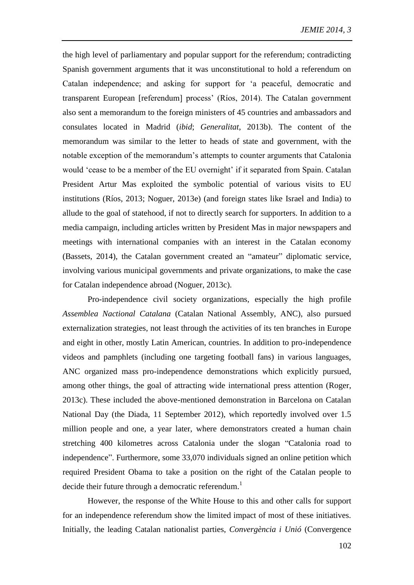the high level of parliamentary and popular support for the referendum; contradicting Spanish government arguments that it was unconstitutional to hold a referendum on Catalan independence; and asking for support for 'a peaceful, democratic and transparent European [referendum] process' (Ríos, 2014). The Catalan government also sent a memorandum to the foreign ministers of 45 countries and ambassadors and consulates located in Madrid (*ibid*; *Generalitat*, 2013b). The content of the memorandum was similar to the letter to heads of state and government, with the notable exception of the memorandum's attempts to counter arguments that Catalonia would 'cease to be a member of the EU overnight' if it separated from Spain. Catalan President Artur Mas exploited the symbolic potential of various visits to EU institutions (Ríos, 2013; Noguer, 2013e) (and foreign states like Israel and India) to allude to the goal of statehood, if not to directly search for supporters. In addition to a media campaign, including articles written by President Mas in major newspapers and meetings with international companies with an interest in the Catalan economy (Bassets, 2014), the Catalan government created an "amateur" diplomatic service, involving various municipal governments and private organizations, to make the case for Catalan independence abroad (Noguer, 2013c).

Pro-independence civil society organizations, especially the high profile *Assemblea Nactional Catalana* (Catalan National Assembly, ANC), also pursued externalization strategies, not least through the activities of its ten branches in Europe and eight in other, mostly Latin American, countries. In addition to pro-independence videos and pamphlets (including one targeting football fans) in various languages, ANC organized mass pro-independence demonstrations which explicitly pursued, among other things, the goal of attracting wide international press attention (Roger, 2013c). These included the above-mentioned demonstration in Barcelona on Catalan National Day (the Diada, 11 September 2012), which reportedly involved over 1.5 million people and one, a year later, where demonstrators created a human chain stretching 400 kilometres across Catalonia under the slogan "Catalonia road to independence". Furthermore, some 33,070 individuals signed an online petition which required President Obama to take a position on the right of the Catalan people to decide their future through a democratic referendum.<sup>1</sup>

However, the response of the White House to this and other calls for support for an independence referendum show the limited impact of most of these initiatives. Initially, the leading Catalan nationalist parties, *Convergència i Unió* (Convergence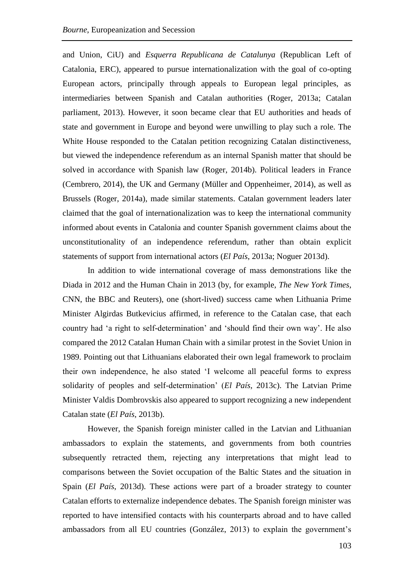and Union, CiU) and *Esquerra Republicana de Catalunya* (Republican Left of Catalonia, ERC), appeared to pursue internationalization with the goal of co-opting European actors, principally through appeals to European legal principles, as intermediaries between Spanish and Catalan authorities (Roger, 2013a; Catalan parliament, 2013). However, it soon became clear that EU authorities and heads of state and government in Europe and beyond were unwilling to play such a role. The White House responded to the Catalan petition recognizing Catalan distinctiveness, but viewed the independence referendum as an internal Spanish matter that should be solved in accordance with Spanish law (Roger, 2014b). Political leaders in France (Cembrero, 2014), the UK and Germany (Müller and Oppenheimer, 2014), as well as Brussels (Roger, 2014a), made similar statements. Catalan government leaders later claimed that the goal of internationalization was to keep the international community informed about events in Catalonia and counter Spanish government claims about the unconstitutionality of an independence referendum, rather than obtain explicit statements of support from international actors (*El País*, 2013a; Noguer 2013d).

In addition to wide international coverage of mass demonstrations like the Diada in 2012 and the Human Chain in 2013 (by, for example, *The New York Times*, CNN, the BBC and Reuters), one (short-lived) success came when Lithuania Prime Minister Algirdas Butkevicius affirmed, in reference to the Catalan case, that each country had 'a right to self-determination' and 'should find their own way'. He also compared the 2012 Catalan Human Chain with a similar protest in the Soviet Union in 1989. Pointing out that Lithuanians elaborated their own legal framework to proclaim their own independence, he also stated 'I welcome all peaceful forms to express solidarity of peoples and self-determination' (*El País*, 2013c). The Latvian Prime Minister Valdis Dombrovskis also appeared to support recognizing a new independent Catalan state (*El País*, 2013b).

However, the Spanish foreign minister called in the Latvian and Lithuanian ambassadors to explain the statements, and governments from both countries subsequently retracted them, rejecting any interpretations that might lead to comparisons between the Soviet occupation of the Baltic States and the situation in Spain (*El País*, 2013d). These actions were part of a broader strategy to counter Catalan efforts to externalize independence debates. The Spanish foreign minister was reported to have intensified contacts with his counterparts abroad and to have called ambassadors from all EU countries (González, 2013) to explain the government's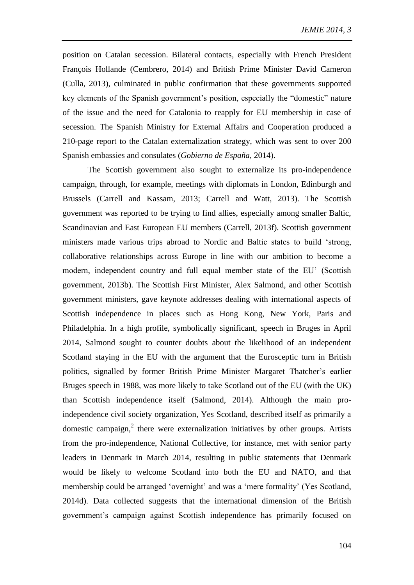position on Catalan secession. Bilateral contacts, especially with French President François Hollande (Cembrero, 2014) and British Prime Minister David Cameron (Culla, 2013), culminated in public confirmation that these governments supported key elements of the Spanish government's position, especially the "domestic" nature of the issue and the need for Catalonia to reapply for EU membership in case of secession. The Spanish Ministry for External Affairs and Cooperation produced a 210-page report to the Catalan externalization strategy, which was sent to over 200 Spanish embassies and consulates (*Gobierno de España*, 2014).

The Scottish government also sought to externalize its pro-independence campaign, through, for example, meetings with diplomats in London, Edinburgh and Brussels (Carrell and Kassam, 2013; Carrell and Watt, 2013). The Scottish government was reported to be trying to find allies, especially among smaller Baltic, Scandinavian and East European EU members (Carrell, 2013f). Scottish government ministers made various trips abroad to Nordic and Baltic states to build 'strong, collaborative relationships across Europe in line with our ambition to become a modern, independent country and full equal member state of the EU' (Scottish government, 2013b). The Scottish First Minister, Alex Salmond, and other Scottish government ministers, gave keynote addresses dealing with international aspects of Scottish independence in places such as Hong Kong, New York, Paris and Philadelphia. In a high profile, symbolically significant, speech in Bruges in April 2014, Salmond sought to counter doubts about the likelihood of an independent Scotland staying in the EU with the argument that the Eurosceptic turn in British politics, signalled by former British Prime Minister Margaret Thatcher's earlier Bruges speech in 1988, was more likely to take Scotland out of the EU (with the UK) than Scottish independence itself (Salmond, 2014). Although the main proindependence civil society organization, Yes Scotland, described itself as primarily a domestic campaign, $2$  there were externalization initiatives by other groups. Artists from the pro-independence, National Collective, for instance, met with senior party leaders in Denmark in March 2014, resulting in public statements that Denmark would be likely to welcome Scotland into both the EU and NATO, and that membership could be arranged 'overnight' and was a 'mere formality' (Yes Scotland, 2014d). Data collected suggests that the international dimension of the British government's campaign against Scottish independence has primarily focused on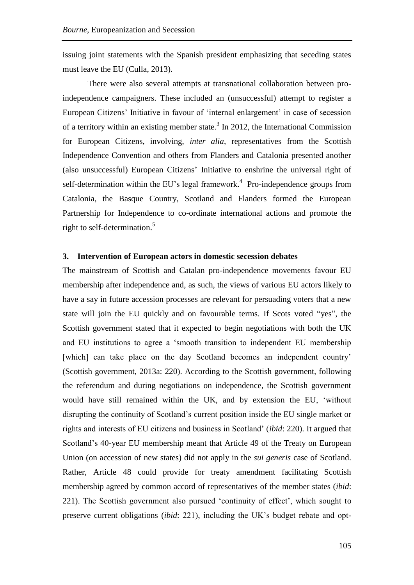issuing joint statements with the Spanish president emphasizing that seceding states must leave the EU (Culla, 2013).

There were also several attempts at transnational collaboration between proindependence campaigners. These included an (unsuccessful) attempt to register a European Citizens' Initiative in favour of 'internal enlargement' in case of secession of a territory within an existing member state.<sup>3</sup> In 2012, the International Commission for European Citizens, involving, *inter alia*, representatives from the Scottish Independence Convention and others from Flanders and Catalonia presented another (also unsuccessful) European Citizens' Initiative to enshrine the universal right of self-determination within the EU's legal framework.<sup>4</sup> Pro-independence groups from Catalonia, the Basque Country, Scotland and Flanders formed the European Partnership for Independence to co-ordinate international actions and promote the right to self-determination.<sup>5</sup>

# **3. Intervention of European actors in domestic secession debates**

The mainstream of Scottish and Catalan pro-independence movements favour EU membership after independence and, as such, the views of various EU actors likely to have a say in future accession processes are relevant for persuading voters that a new state will join the EU quickly and on favourable terms. If Scots voted "yes", the Scottish government stated that it expected to begin negotiations with both the UK and EU institutions to agree a 'smooth transition to independent EU membership [which] can take place on the day Scotland becomes an independent country' (Scottish government, 2013a: 220). According to the Scottish government, following the referendum and during negotiations on independence, the Scottish government would have still remained within the UK, and by extension the EU, 'without disrupting the continuity of Scotland's current position inside the EU single market or rights and interests of EU citizens and business in Scotland' (*ibid*: 220). It argued that Scotland's 40-year EU membership meant that Article 49 of the Treaty on European Union (on accession of new states) did not apply in the *sui generis* case of Scotland. Rather, Article 48 could provide for treaty amendment facilitating Scottish membership agreed by common accord of representatives of the member states (*ibid*: 221). The Scottish government also pursued 'continuity of effect', which sought to preserve current obligations (*ibid*: 221), including the UK's budget rebate and opt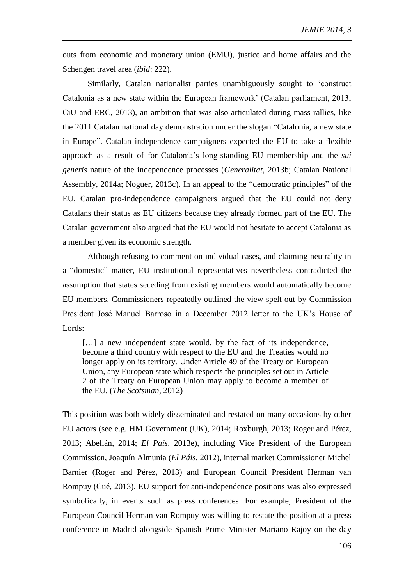outs from economic and monetary union (EMU), justice and home affairs and the Schengen travel area (*ibid*: 222).

Similarly, Catalan nationalist parties unambiguously sought to 'construct Catalonia as a new state within the European framework' (Catalan parliament, 2013; CiU and ERC, 2013), an ambition that was also articulated during mass rallies, like the 2011 Catalan national day demonstration under the slogan "Catalonia, a new state in Europe". Catalan independence campaigners expected the EU to take a flexible approach as a result of for Catalonia's long-standing EU membership and the *sui generis* nature of the independence processes (*Generalitat*, 2013b; Catalan National Assembly, 2014a; Noguer, 2013c). In an appeal to the "democratic principles" of the EU, Catalan pro-independence campaigners argued that the EU could not deny Catalans their status as EU citizens because they already formed part of the EU. The Catalan government also argued that the EU would not hesitate to accept Catalonia as a member given its economic strength.

Although refusing to comment on individual cases, and claiming neutrality in a "domestic" matter, EU institutional representatives nevertheless contradicted the assumption that states seceding from existing members would automatically become EU members. Commissioners repeatedly outlined the view spelt out by Commission President José Manuel Barroso in a December 2012 letter to the UK's House of Lords:

[...] a new independent state would, by the fact of its independence, become a third country with respect to the EU and the Treaties would no longer apply on its territory. Under Article 49 of the Treaty on European Union, any European state which respects the principles set out in Article 2 of the Treaty on European Union may apply to become a member of the EU. (*The Scotsman*, 2012)

This position was both widely disseminated and restated on many occasions by other EU actors (see e.g. HM Government (UK), 2014; Roxburgh, 2013; Roger and Pérez, 2013; Abellán, 2014; *El País*, 2013e), including Vice President of the European Commission, Joaquín Almunia (*El Páis*, 2012), internal market Commissioner Michel Barnier (Roger and Pérez, 2013) and European Council President Herman van Rompuy (Cué, 2013). EU support for anti-independence positions was also expressed symbolically, in events such as press conferences. For example, President of the European Council Herman van Rompuy was willing to restate the position at a press conference in Madrid alongside Spanish Prime Minister Mariano Rajoy on the day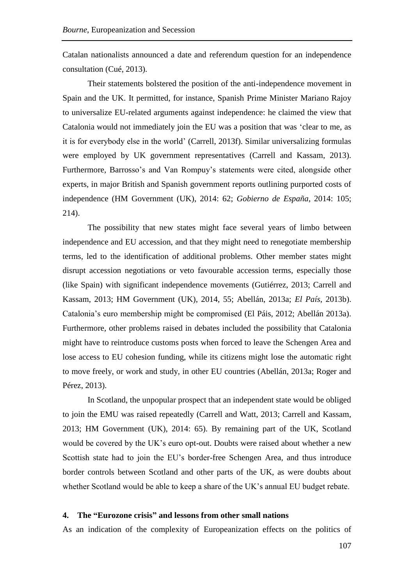Catalan nationalists announced a date and referendum question for an independence consultation (Cué, 2013).

Their statements bolstered the position of the anti-independence movement in Spain and the UK. It permitted, for instance, Spanish Prime Minister Mariano Rajoy to universalize EU-related arguments against independence: he claimed the view that Catalonia would not immediately join the EU was a position that was 'clear to me, as it is for everybody else in the world' (Carrell, 2013f). Similar universalizing formulas were employed by UK government representatives (Carrell and Kassam, 2013). Furthermore, Barrosso's and Van Rompuy's statements were cited, alongside other experts, in major British and Spanish government reports outlining purported costs of independence (HM Government (UK), 2014: 62; *Gobierno de España*, 2014: 105; 214).

The possibility that new states might face several years of limbo between independence and EU accession, and that they might need to renegotiate membership terms, led to the identification of additional problems. Other member states might disrupt accession negotiations or veto favourable accession terms, especially those (like Spain) with significant independence movements (Gutiérrez, 2013; Carrell and Kassam, 2013; HM Government (UK), 2014, 55; Abellán, 2013a; *El País*, 2013b). Catalonia's euro membership might be compromised (El Páis, 2012; Abellán 2013a). Furthermore, other problems raised in debates included the possibility that Catalonia might have to reintroduce customs posts when forced to leave the Schengen Area and lose access to EU cohesion funding, while its citizens might lose the automatic right to move freely, or work and study, in other EU countries (Abellán, 2013a; Roger and Pérez, 2013).

In Scotland, the unpopular prospect that an independent state would be obliged to join the EMU was raised repeatedly (Carrell and Watt, 2013; Carrell and Kassam, 2013; HM Government (UK), 2014: 65). By remaining part of the UK, Scotland would be covered by the UK's euro opt-out. Doubts were raised about whether a new Scottish state had to join the EU's border-free Schengen Area, and thus introduce border controls between Scotland and other parts of the UK, as were doubts about whether Scotland would be able to keep a share of the UK's annual EU budget rebate.

### **4. The "Eurozone crisis" and lessons from other small nations**

As an indication of the complexity of Europeanization effects on the politics of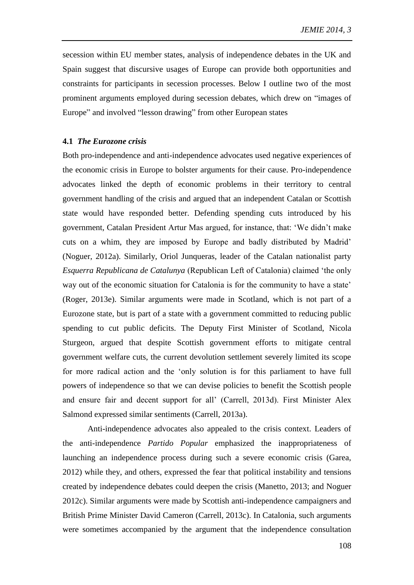secession within EU member states, analysis of independence debates in the UK and Spain suggest that discursive usages of Europe can provide both opportunities and constraints for participants in secession processes. Below I outline two of the most prominent arguments employed during secession debates, which drew on "images of Europe" and involved "lesson drawing" from other European states

## **4.1** *The Eurozone crisis*

Both pro-independence and anti-independence advocates used negative experiences of the economic crisis in Europe to bolster arguments for their cause. Pro-independence advocates linked the depth of economic problems in their territory to central government handling of the crisis and argued that an independent Catalan or Scottish state would have responded better. Defending spending cuts introduced by his government, Catalan President Artur Mas argued, for instance, that: 'We didn't make cuts on a whim, they are imposed by Europe and badly distributed by Madrid' (Noguer, 2012a). Similarly, Oriol Junqueras, leader of the Catalan nationalist party *Esquerra Republicana de Catalunya* (Republican Left of Catalonia) claimed 'the only way out of the economic situation for Catalonia is for the community to have a state' (Roger, 2013e). Similar arguments were made in Scotland, which is not part of a Eurozone state, but is part of a state with a government committed to reducing public spending to cut public deficits. The Deputy First Minister of Scotland, Nicola Sturgeon, argued that despite Scottish government efforts to mitigate central government welfare cuts, the current devolution settlement severely limited its scope for more radical action and the 'only solution is for this parliament to have full powers of independence so that we can devise policies to benefit the Scottish people and ensure fair and decent support for all' (Carrell, 2013d). First Minister Alex Salmond expressed similar sentiments (Carrell, 2013a).

Anti-independence advocates also appealed to the crisis context. Leaders of the anti-independence *Partido Popular* emphasized the inappropriateness of launching an independence process during such a severe economic crisis (Garea, 2012) while they, and others, expressed the fear that political instability and tensions created by independence debates could deepen the crisis (Manetto, 2013; and Noguer 2012c). Similar arguments were made by Scottish anti-independence campaigners and British Prime Minister David Cameron (Carrell, 2013c). In Catalonia, such arguments were sometimes accompanied by the argument that the independence consultation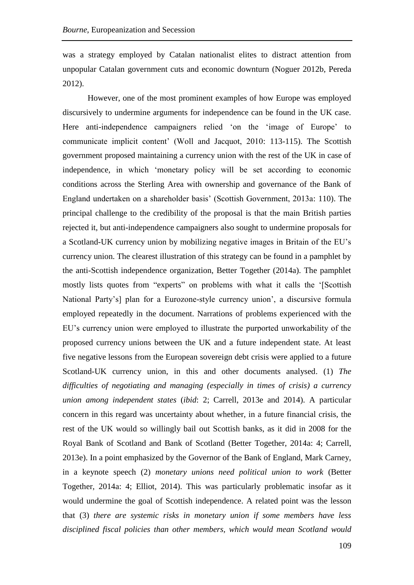was a strategy employed by Catalan nationalist elites to distract attention from unpopular Catalan government cuts and economic downturn (Noguer 2012b, Pereda 2012).

However, one of the most prominent examples of how Europe was employed discursively to undermine arguments for independence can be found in the UK case. Here anti-independence campaigners relied 'on the 'image of Europe' to communicate implicit content' (Woll and Jacquot, 2010: 113-115). The Scottish government proposed maintaining a currency union with the rest of the UK in case of independence, in which 'monetary policy will be set according to economic conditions across the Sterling Area with ownership and governance of the Bank of England undertaken on a shareholder basis' (Scottish Government, 2013a: 110). The principal challenge to the credibility of the proposal is that the main British parties rejected it, but anti-independence campaigners also sought to undermine proposals for a Scotland-UK currency union by mobilizing negative images in Britain of the EU's currency union. The clearest illustration of this strategy can be found in a pamphlet by the anti-Scottish independence organization, Better Together (2014a). The pamphlet mostly lists quotes from "experts" on problems with what it calls the '[Scottish National Party's] plan for a Eurozone-style currency union', a discursive formula employed repeatedly in the document. Narrations of problems experienced with the EU's currency union were employed to illustrate the purported unworkability of the proposed currency unions between the UK and a future independent state. At least five negative lessons from the European sovereign debt crisis were applied to a future Scotland-UK currency union, in this and other documents analysed. (1) *The difficulties of negotiating and managing (especially in times of crisis) a currency union among independent states* (*ibid*: 2; Carrell, 2013e and 2014). A particular concern in this regard was uncertainty about whether, in a future financial crisis, the rest of the UK would so willingly bail out Scottish banks, as it did in 2008 for the Royal Bank of Scotland and Bank of Scotland (Better Together, 2014a: 4; Carrell, 2013e). In a point emphasized by the Governor of the Bank of England, Mark Carney, in a keynote speech (2) *monetary unions need political union to work* (Better Together, 2014a: 4; Elliot, 2014). This was particularly problematic insofar as it would undermine the goal of Scottish independence. A related point was the lesson that (3) *there are systemic risks in monetary union if some members have less disciplined fiscal policies than other members, which would mean Scotland would*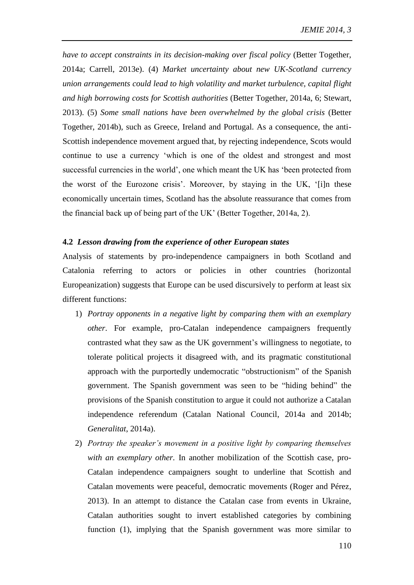*have to accept constraints in its decision-making over fiscal policy* (Better Together, 2014a; Carrell, 2013e). (4) *Market uncertainty about new UK-Scotland currency union arrangements could lead to high volatility and market turbulence, capital flight and high borrowing costs for Scottish authorities* (Better Together, 2014a, 6; Stewart, 2013). (5) *Some small nations have been overwhelmed by the global crisis* (Better Together, 2014b), such as Greece, Ireland and Portugal. As a consequence, the anti-Scottish independence movement argued that, by rejecting independence, Scots would continue to use a currency 'which is one of the oldest and strongest and most successful currencies in the world', one which meant the UK has 'been protected from the worst of the Eurozone crisis'. Moreover, by staying in the UK, '[i]n these economically uncertain times, Scotland has the absolute reassurance that comes from the financial back up of being part of the UK' (Better Together, 2014a, 2).

## **4.2** *Lesson drawing from the experience of other European states*

Analysis of statements by pro-independence campaigners in both Scotland and Catalonia referring to actors or policies in other countries (horizontal Europeanization) suggests that Europe can be used discursively to perform at least six different functions:

- 1) *Portray opponents in a negative light by comparing them with an exemplary other*. For example, pro-Catalan independence campaigners frequently contrasted what they saw as the UK government's willingness to negotiate, to tolerate political projects it disagreed with, and its pragmatic constitutional approach with the purportedly undemocratic "obstructionism" of the Spanish government. The Spanish government was seen to be "hiding behind" the provisions of the Spanish constitution to argue it could not authorize a Catalan independence referendum (Catalan National Council, 2014a and 2014b; *Generalitat*, 2014a).
- 2) *Portray the speaker's movement in a positive light by comparing themselves with an exemplary other.* In another mobilization of the Scottish case, pro-Catalan independence campaigners sought to underline that Scottish and Catalan movements were peaceful, democratic movements (Roger and Pérez, 2013). In an attempt to distance the Catalan case from events in Ukraine, Catalan authorities sought to invert established categories by combining function (1), implying that the Spanish government was more similar to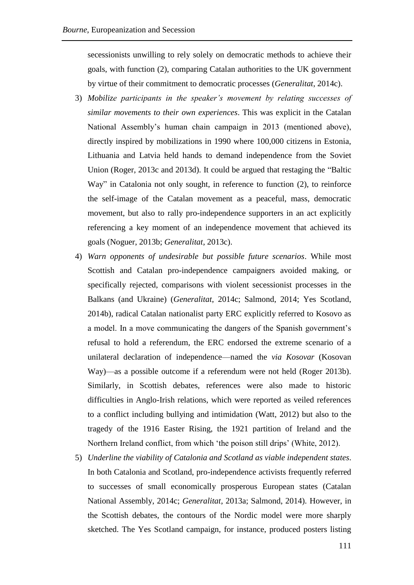secessionists unwilling to rely solely on democratic methods to achieve their goals, with function (2), comparing Catalan authorities to the UK government by virtue of their commitment to democratic processes (*Generalitat*, 2014c).

- 3) *Mobilize participants in the speaker's movement by relating successes of similar movements to their own experiences*. This was explicit in the Catalan National Assembly's human chain campaign in 2013 (mentioned above), directly inspired by mobilizations in 1990 where 100,000 citizens in Estonia, Lithuania and Latvia held hands to demand independence from the Soviet Union (Roger, 2013c and 2013d). It could be argued that restaging the "Baltic Way" in Catalonia not only sought, in reference to function (2), to reinforce the self-image of the Catalan movement as a peaceful, mass, democratic movement, but also to rally pro-independence supporters in an act explicitly referencing a key moment of an independence movement that achieved its goals (Noguer, 2013b; *Generalitat*, 2013c).
- 4) *Warn opponents of undesirable but possible future scenarios*. While most Scottish and Catalan pro-independence campaigners avoided making, or specifically rejected, comparisons with violent secessionist processes in the Balkans (and Ukraine) (*Generalitat*, 2014c; Salmond, 2014; Yes Scotland, 2014b), radical Catalan nationalist party ERC explicitly referred to Kosovo as a model. In a move communicating the dangers of the Spanish government's refusal to hold a referendum, the ERC endorsed the extreme scenario of a unilateral declaration of independence—named the *via Kosovar* (Kosovan Way)—as a possible outcome if a referendum were not held (Roger 2013b). Similarly, in Scottish debates, references were also made to historic difficulties in Anglo-Irish relations, which were reported as veiled references to a conflict including bullying and intimidation (Watt, 2012) but also to the tragedy of the 1916 Easter Rising, the 1921 partition of Ireland and the Northern Ireland conflict, from which 'the poison still drips' (White, 2012).
- 5) *Underline the viability of Catalonia and Scotland as viable independent states*. In both Catalonia and Scotland, pro-independence activists frequently referred to successes of small economically prosperous European states (Catalan National Assembly, 2014c; *Generalitat*, 2013a; Salmond, 2014). However, in the Scottish debates, the contours of the Nordic model were more sharply sketched. The Yes Scotland campaign, for instance, produced posters listing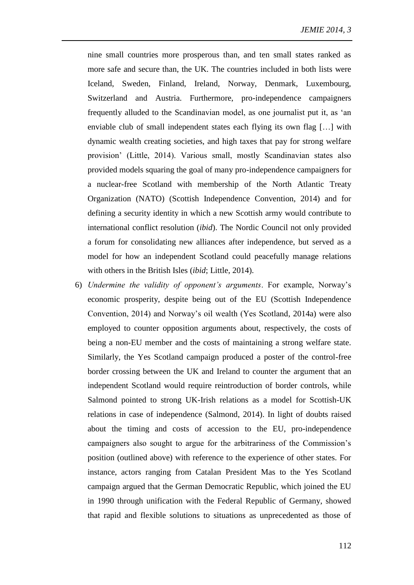nine small countries more prosperous than, and ten small states ranked as more safe and secure than, the UK. The countries included in both lists were Iceland, Sweden, Finland, Ireland, Norway, Denmark, Luxembourg, Switzerland and Austria. Furthermore, pro-independence campaigners frequently alluded to the Scandinavian model, as one journalist put it, as 'an enviable club of small independent states each flying its own flag […] with dynamic wealth creating societies, and high taxes that pay for strong welfare provision' (Little, 2014). Various small, mostly Scandinavian states also provided models squaring the goal of many pro-independence campaigners for a nuclear-free Scotland with membership of the North Atlantic Treaty Organization (NATO) (Scottish Independence Convention, 2014) and for defining a security identity in which a new Scottish army would contribute to international conflict resolution (*ibid*). The Nordic Council not only provided a forum for consolidating new alliances after independence, but served as a model for how an independent Scotland could peacefully manage relations with others in the British Isles (*ibid*; Little, 2014).

6) *Undermine the validity of opponent's arguments*. For example, Norway's economic prosperity, despite being out of the EU (Scottish Independence Convention, 2014) and Norway's oil wealth (Yes Scotland, 2014a) were also employed to counter opposition arguments about, respectively, the costs of being a non-EU member and the costs of maintaining a strong welfare state. Similarly, the Yes Scotland campaign produced a poster of the control-free border crossing between the UK and Ireland to counter the argument that an independent Scotland would require reintroduction of border controls, while Salmond pointed to strong UK-Irish relations as a model for Scottish-UK relations in case of independence (Salmond, 2014). In light of doubts raised about the timing and costs of accession to the EU, pro-independence campaigners also sought to argue for the arbitrariness of the Commission's position (outlined above) with reference to the experience of other states. For instance, actors ranging from Catalan President Mas to the Yes Scotland campaign argued that the German Democratic Republic, which joined the EU in 1990 through unification with the Federal Republic of Germany, showed that rapid and flexible solutions to situations as unprecedented as those of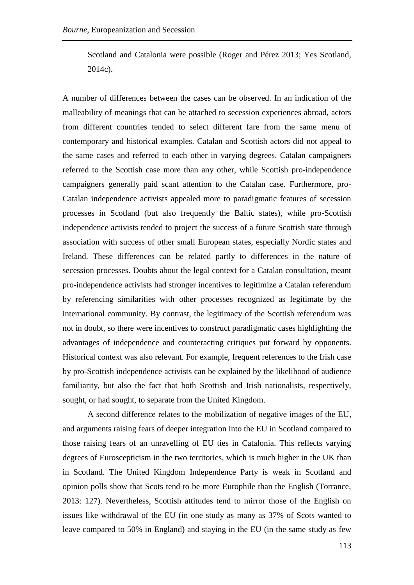Scotland and Catalonia were possible (Roger and Pérez 2013; Yes Scotland, 2014c).

A number of differences between the cases can be observed. In an indication of the malleability of meanings that can be attached to secession experiences abroad, actors from different countries tended to select different fare from the same menu of contemporary and historical examples. Catalan and Scottish actors did not appeal to the same cases and referred to each other in varying degrees. Catalan campaigners referred to the Scottish case more than any other, while Scottish pro-independence campaigners generally paid scant attention to the Catalan case. Furthermore, pro-Catalan independence activists appealed more to paradigmatic features of secession processes in Scotland (but also frequently the Baltic states), while pro-Scottish independence activists tended to project the success of a future Scottish state through association with success of other small European states, especially Nordic states and Ireland. These differences can be related partly to differences in the nature of secession processes. Doubts about the legal context for a Catalan consultation, meant pro-independence activists had stronger incentives to legitimize a Catalan referendum by referencing similarities with other processes recognized as legitimate by the international community. By contrast, the legitimacy of the Scottish referendum was not in doubt, so there were incentives to construct paradigmatic cases highlighting the advantages of independence and counteracting critiques put forward by opponents. Historical context was also relevant. For example, frequent references to the Irish case by pro-Scottish independence activists can be explained by the likelihood of audience familiarity, but also the fact that both Scottish and Irish nationalists, respectively, sought, or had sought, to separate from the United Kingdom.

A second difference relates to the mobilization of negative images of the EU, and arguments raising fears of deeper integration into the EU in Scotland compared to those raising fears of an unravelling of EU ties in Catalonia. This reflects varying degrees of Euroscepticism in the two territories, which is much higher in the UK than in Scotland. The United Kingdom Independence Party is weak in Scotland and opinion polls show that Scots tend to be more Europhile than the English (Torrance, 2013: 127). Nevertheless, Scottish attitudes tend to mirror those of the English on issues like withdrawal of the EU (in one study as many as 37% of Scots wanted to leave compared to 50% in England) and staying in the EU (in the same study as few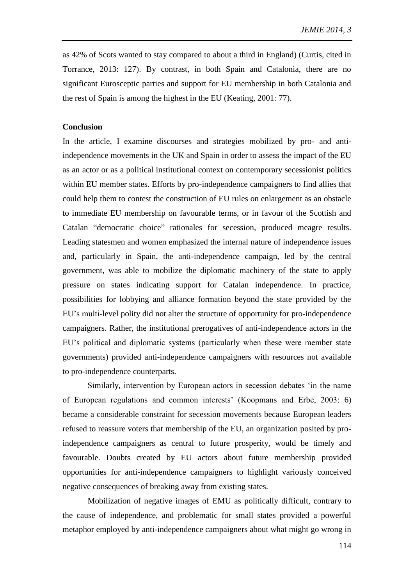as 42% of Scots wanted to stay compared to about a third in England) (Curtis, cited in Torrance, 2013: 127). By contrast, in both Spain and Catalonia, there are no significant Eurosceptic parties and support for EU membership in both Catalonia and the rest of Spain is among the highest in the EU (Keating, 2001: 77).

### **Conclusion**

In the article, I examine discourses and strategies mobilized by pro- and antiindependence movements in the UK and Spain in order to assess the impact of the EU as an actor or as a political institutional context on contemporary secessionist politics within EU member states. Efforts by pro-independence campaigners to find allies that could help them to contest the construction of EU rules on enlargement as an obstacle to immediate EU membership on favourable terms, or in favour of the Scottish and Catalan "democratic choice" rationales for secession, produced meagre results. Leading statesmen and women emphasized the internal nature of independence issues and, particularly in Spain, the anti-independence campaign, led by the central government, was able to mobilize the diplomatic machinery of the state to apply pressure on states indicating support for Catalan independence. In practice, possibilities for lobbying and alliance formation beyond the state provided by the EU's multi-level polity did not alter the structure of opportunity for pro-independence campaigners. Rather, the institutional prerogatives of anti-independence actors in the EU's political and diplomatic systems (particularly when these were member state governments) provided anti-independence campaigners with resources not available to pro-independence counterparts.

Similarly, intervention by European actors in secession debates 'in the name of European regulations and common interests' (Koopmans and Erbe, 2003: 6) became a considerable constraint for secession movements because European leaders refused to reassure voters that membership of the EU, an organization posited by proindependence campaigners as central to future prosperity, would be timely and favourable. Doubts created by EU actors about future membership provided opportunities for anti-independence campaigners to highlight variously conceived negative consequences of breaking away from existing states.

Mobilization of negative images of EMU as politically difficult, contrary to the cause of independence, and problematic for small states provided a powerful metaphor employed by anti-independence campaigners about what might go wrong in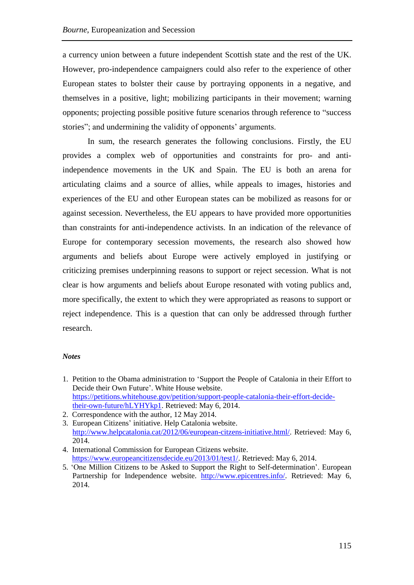a currency union between a future independent Scottish state and the rest of the UK. However, pro-independence campaigners could also refer to the experience of other European states to bolster their cause by portraying opponents in a negative, and themselves in a positive, light; mobilizing participants in their movement; warning opponents; projecting possible positive future scenarios through reference to "success stories"; and undermining the validity of opponents' arguments.

In sum, the research generates the following conclusions. Firstly, the EU provides a complex web of opportunities and constraints for pro- and antiindependence movements in the UK and Spain. The EU is both an arena for articulating claims and a source of allies, while appeals to images, histories and experiences of the EU and other European states can be mobilized as reasons for or against secession. Nevertheless, the EU appears to have provided more opportunities than constraints for anti-independence activists. In an indication of the relevance of Europe for contemporary secession movements, the research also showed how arguments and beliefs about Europe were actively employed in justifying or criticizing premises underpinning reasons to support or reject secession. What is not clear is how arguments and beliefs about Europe resonated with voting publics and, more specifically, the extent to which they were appropriated as reasons to support or reject independence. This is a question that can only be addressed through further research.

#### *Notes*

- 1. Petition to the Obama administration to 'Support the People of Catalonia in their Effort to Decide their Own Future'. White House website. [https://petitions.whitehouse.gov/petition/support-people-catalonia-their-effort-decide](https://petitions.whitehouse.gov/petition/support-people-catalonia-their-effort-decide-their-own-future/hLYHYkp1)[their-own-future/hLYHYkp1.](https://petitions.whitehouse.gov/petition/support-people-catalonia-their-effort-decide-their-own-future/hLYHYkp1) Retrieved: May 6, 2014.
- 2. Correspondence with the author, 12 May 2014.

3. European Citizens' initiative. Help Catalonia website. [http://www.helpcatalonia.cat/2012/06/european-citzens-initiative.html/.](http://www.helpcatalonia.cat/2012/06/european-citzens-initiative.html/) Retrieved: May 6, 2014.

- 4. International Commission for European Citizens website. [https://www.europeancitizensdecide.eu/2013/01/test1/.](https://www.europeancitizensdecide.eu/2013/01/test1/) Retrieved: May 6, 2014.
- 5. 'One Million Citizens to be Asked to Support the Right to Self-determination'. European Partnership for Independence website. [http://www.epicentres.info/.](http://www.epicentres.info/) Retrieved: May 6, 2014.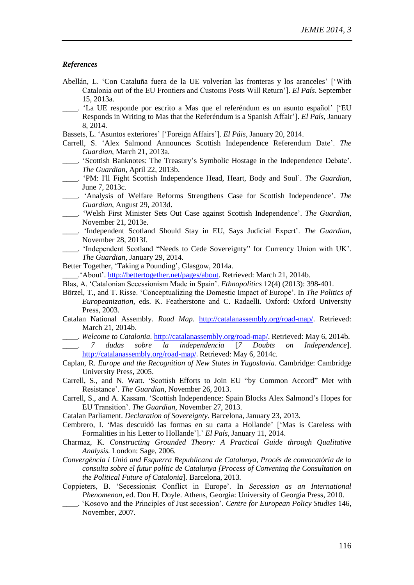#### *References*

- Abellán, L. 'Con Cataluña fuera de la UE volverían las fronteras y los aranceles' ['With Catalonia out of the EU Frontiers and Customs Posts Will Return']. *El País*. September 15, 2013a.
- 'La UE responde por escrito a Mas que el referéndum es un asunto español' ['EU Responds in Writing to Mas that the Referéndum is a Spanish Affair']. *El País*, January 8, 2014.
- Bassets, L. 'Asuntos exteriores' ['Foreign Affairs']. *El Páis,* January 20, 2014.
- Carrell, S. 'Alex Salmond Announces Scottish Independence Referendum Date'. *The Guardian*, March 21, 2013a.
- \_\_\_\_. 'Scottish Banknotes: The Treasury's Symbolic Hostage in the Independence Debate'. *The Guardian*, April 22, 2013b.
- \_\_\_\_. 'PM: I'll Fight Scottish Independence Head, Heart, Body and Soul'. *The Guardian*, June 7, 2013c.
- \_\_\_\_. 'Analysis of Welfare Reforms Strengthens Case for Scottish Independence'. *The Guardian*, August 29, 2013d.
- \_\_\_\_. 'Welsh First Minister Sets Out Case against Scottish Independence'. *The Guardian,* November 21, 2013e.
- \_\_\_\_. 'Independent Scotland Should Stay in EU, Says Judicial Expert'. *The Guardian*, November 28, 2013f.
- \_\_\_\_. 'Independent Scotland "Needs to Cede Sovereignty" for Currency Union with UK'. *The Guardian*, January 29, 2014.
- Better Together, 'Taking a Pounding', Glasgow, 2014a.
- \_\_\_\_.'About'. [http://bettertogether.net/pages/about.](http://bettertogether.net/pages/about) Retrieved: March 21, 2014b.
- Blas, A. 'Catalonian Secessionism Made in Spain'. *Ethnopolitics* 12(4) (2013): 398-401.
- Börzel, T., and T. Risse. 'Conceptualizing the Domestic Impact of Europe'. In *The Politics of Europeanization,* eds. K. Featherstone and C. Radaelli. Oxford: Oxford University Press, 2003.
- Catalan National Assembly. *Road Map*. [http://catalanassembly.org/road-map/.](http://catalanassembly.org/road-map/) Retrieved: March 21, 2014b.
- \_\_\_\_. *Welcome to Catalonia*. [http://catalanassembly.org/road-map/.](http://catalanassembly.org/road-map/) Retrieved: May 6, 2014b.
- \_\_\_\_. *7 dudas sobre la independencia* [*7 Doubts on Independence*]. <http://catalanassembly.org/road-map/>. Retrieved: May 6, 2014c.
- Caplan, R. *Europe and the Recognition of New States in Yugoslavia.* Cambridge: Cambridge University Press, 2005.
- Carrell, S., and N. Watt. 'Scottish Efforts to Join EU "by Common Accord" Met with Resistance'. *The Guardian,* November 26, 2013.
- Carrell, S., and A. Kassam. 'Scottish Independence: Spain Blocks Alex Salmond's Hopes for EU Transition'. *The Guardian*, November 27, 2013.
- Catalan Parliament. *Declaration of Sovereignty*. Barcelona, January 23, 2013.
- Cembrero, I. 'Mas descuidó las formas en su carta a Hollande' ['Mas is Careless with Formalities in his Letter to Hollande'].' *El País*, January 11, 2014.
- Charmaz, K. *Constructing Grounded Theory: A Practical Guide through Qualitative Analysis.* London: Sage, 2006.
- *Convergència i Unió and Esquerra Republicana de Catalunya*, *Procés de convocatòria de la consulta sobre el futur polític de Catalunya [Process of Convening the Consultation on the Political Future of Catalonia*]*.* Barcelona, 2013*.*
- Coppieters, B. 'Secessionist Conflict in Europe'. In *[Secession as an International](http://www.ugapress.org/index.php/books/secession_international)  [Phenomenon,](http://www.ugapress.org/index.php/books/secession_international)* ed. Don H. Doyle. Athens, Georgia: University of Georgia Press, 2010.
- \_\_\_\_. 'Kosovo and the Principles of Just secession'. *Centre for European Policy Studies* 146, November, 2007.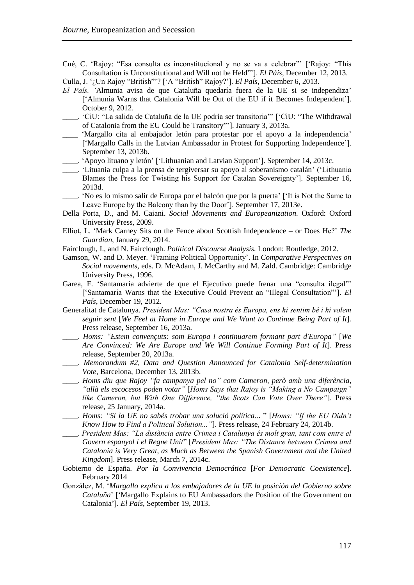Cué, C. 'Rajoy: "Esa consulta es inconstitucional y no se va a celebrar"' ['Rajoy: "This Consultation is Unconstitutional and Will not be Held"']. *El Páis*, December 12, 2013.

Culla, J. '¿Un Rajoy "British"'? ['A "British" Rajoy?']. *El País*, December 6, 2013.

- *El País. '*Almunia avisa de que Cataluña quedaría fuera de la UE si se independiza' ['Almunia Warns that Catalonia Will be Out of the EU if it Becomes Independent']. October 9, 2012.
- \_\_\_\_. 'CiU: "La salida de Cataluña de la UE podría ser transitoria"' ['CiU: "The Withdrawal of Catalonia from the EU Could be Transitory"']. January 3, 2013a.
- \_\_\_\_ 'Margallo cita al embajador letón para protestar por el apoyo a la independencia' ['Margallo Calls in the Latvian Ambassador in Protest for Supporting Independence']. September 13, 2013b.
- \_\_\_\_. 'Apoyo lituano y letón' ['Lithuanian and Latvian Support']. September 14, 2013c.
- \_\_\_\_. 'Lituania culpa a la prensa de tergiversar su apoyo al soberanismo catalán' ('Lithuania Blames the Press for Twisting his Support for Catalan Sovereignty']. September 16, 2013d.
- \_\_\_\_. 'No es lo mismo salir de Europa por el balcón que por la puerta' ['It is Not the Same to Leave Europe by the Balcony than by the Door']. September 17, 2013e.
- Della Porta, D., and M. Caiani. *Social Movements and Europeanization.* Oxford: Oxford University Press, 2009.
- Elliot, L. 'Mark Carney Sits on the Fence about Scottish Independence or Does He?' *The Guardian*, January 29, 2014.
- Fairclough, I., and N. Fairclough. *Political Discourse Analysis.* London: Routledge, 2012.
- Gamson, W. and D. Meyer. 'Framing Political Opportunity'. In *Comparative Perspectives on Social movements,* eds. D. McAdam, J. McCarthy and M. Zald. Cambridge: Cambridge University Press, 1996.
- Garea, [F. '](http://politica.elpais.com/autor/fernando_garea/a/)Santamaría advierte de que el Ejecutivo puede frenar una "consulta ilegal"' ['Santamaria Warns that the Executive Could Prevent an "Illegal Consultation"']. *El País*, December 19, 2012.
- Generalitat de Catalunya. *President Mas: "Casa nostra és Europa, ens hi sentim bé i hi volem seguir sent* [*We Feel at Home in Europe and We Want to Continue Being Part of It*]*.*  Press release, September 16, 2013a.
- \_\_\_\_. *Homs: "Estem convençuts: som Europa i continuarem formant part d'Europa"* [*We Are Convinced: We Are Europe and We Will Continue Forming Part of It*]. Press release, September 20, 2013a.
- \_\_\_\_. *Memorandum #2, Data and Question Announced for Catalonia Self-determination Vote*, Barcelona, December 13, 2013b.
- \_\_\_\_. *Homs diu que Rajoy "fa campanya pel no" com Cameron, però amb una diferència, "allà els escocesos poden votar"* [*Homs Says that Rajoy is "Making a No Campaign" like Cameron, but With One Difference, "the Scots Can Vote Over There"*]. Press release, 25 January, 2014a.
- \_\_\_\_. *Homs: "Si la UE no sabés trobar una solució política..*. " [*Homs: "If the EU Didn't Know How to Find a Political Solution..."*]. Press release, 24 February 24, 2014b.
- \_\_\_\_. *President Mas: "La distància entre Crimea i Catalunya és molt gran, tant com entre el Govern espanyol i el Regne Unit*" [*President Mas: "The Distance between Crimea and Catalonia is Very Great, as Much as Between the Spanish Government and the United Kingdom*]. Press release, March 7, 2014c.
- Gobierno de España. *Por la Convivencia Democrática* [*For Democratic Coexistence*]. February 2014
- González, M. '*Margallo explica a los embajadores de la UE la posición del Gobierno sobre Cataluña*' ['Margallo Explains to EU Ambassadors the Position of the Government on Catalonia']. *El País*, September 19, 2013.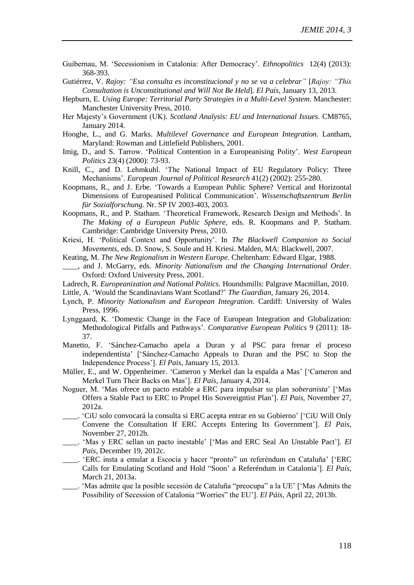- Guibernau, M. 'Secessionism in Catalonia: After Democracy'. *Ethnopolitics* 12(4) (2013): 368-393.
- Gutiérrez, V. *Rajoy: "Esa consulta es inconstitucional y no se va a celebrar"* [*Rajoy: "This Consultation is Unconstitutional and Will Not Be Held*]. *El País*, January 13, 2013.
- Hepburn, E. *Using Europe: Territorial Party Strategies in a Multi-Level System*. Manchester: Manchester University Press, 2010.
- Her Majesty's Government (UK). *Scotland Analysis: EU and International Issues*. CM8765, January 2014.
- Hooghe, L., and G. Marks. *Multilevel Governance and European Integration.* Lantham, Maryland: Rowman and Littlefield Publishers, 2001.
- Imig, D., and S. Tarrow. 'Political Contention in a Europeanising Polity'. *West European Politics* 23(4) (2000): 73-93.
- Knill, C., and D. Lehmkuhl. 'The National Impact of EU Regulatory Policy: Three Mechanisms'. *European Journal of Political Research* 41(2) (2002): 255-280.
- Koopmans, R., and J. Erbe. 'Towards a European Public Sphere? Vertical and Horizontal Dimensions of Europeanised Political Communication'. *Wissenschaftszentrum Berlin für Sozialforschung.* Nr. SP IV 2003-403, 2003.
- Koopmans, R., and P. Statham. 'Theoretical Framework, Research Design and Methods'. In *The Making of a European Public Sphere,* eds. R. Koopmans and P. Statham. Cambridge: Cambridge University Press, 2010.
- Kriesi, H. 'Political Context and Opportunity'. In *The Blackwell Companion to Social Movements,* eds. D. Snow, S. Soule and H. Kriesi. Malden, MA: Blackwell, 2007.
- Keating, M. *The New Regionalism in Western Europe.* Cheltenham: Edward Elgar, 1988.
- \_\_\_\_, and J. McGarry, eds. *Minority Nationalism and the Changing International Order.*  Oxford: Oxford University Press, 2001.
- Ladrech, R. *Europeanization and National Politics.* Houndsmills: Palgrave Macmillan, 2010.
- Little, A. 'Would the Scandinavians Want Scotland?' *The Guardian*, January 26, 2014.
- Lynch, P. *Minority Nationalism and European Integration.* Cardiff: University of Wales Press, 1996.
- Lynggaard, K. 'Domestic Change in the Face of European Integration and Globalization: Methodological Pitfalls and Pathways'. *Comparative European Politics* 9 (2011): 18- 37.
- [Manetto,](http://politica.elpais.com/autor/francesco_manetto/a/) F. 'Sánchez-Camacho apela a Duran y al PSC para frenar el proceso independentista' ['Sánchez-Camacho Appeals to Duran and the PSC to Stop the Independence Process']. *El Pais*, January 15, 2013.
- Müller, E., and W. Oppenheimer. 'Cameron y Merkel dan la espalda a Mas' ['Cameron and Merkel Turn Their Backs on Mas']. *El País*, January 4, 2014.
- Noguer, M. 'Mas ofrece un pacto estable a ERC para impulsar su plan *soberanista*' ['Mas Offers a Stable Pact to ERC to Propel His Sovereigntist Plan']. *El Pais*, November 27, 2012a.
- \_\_\_\_. 'CiU solo convocará la consulta si ERC acepta entrar en su Gobierno' ['CiU Will Only Convene the Consultation If ERC Accepts Entering Its Government']. *El Pais*, November 27, 2012b.
- \_\_\_\_. 'Mas y ERC sellan un pacto inestable' ['Mas and ERC Seal An Unstable Pact']. *El Pais*, December 19, 2012c.
- \_\_\_\_. 'ERC insta a emular a Escocia y hacer "pronto" un referéndum en Cataluña' ['ERC Calls for Emulating Scotland and Hold "Soon' a Referéndum in Catalonia']. *El País*, March 21, 2013a.
- 'Mas admite que la posible secesión de Cataluña "preocupa" a la UE' ['Mas Admits the Possibility of Secession of Catalonia "Worries" the EU']. *El Páis*, April 22, 2013b.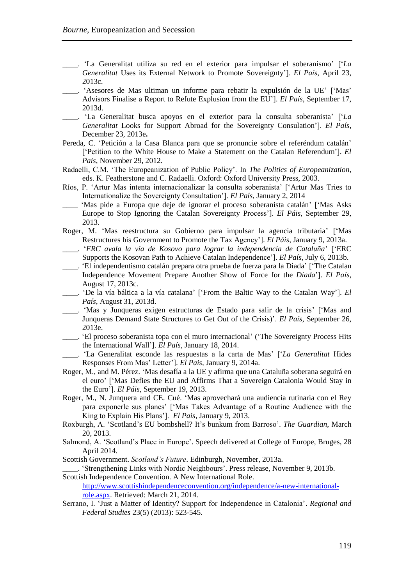- \_\_\_\_. 'La Generalitat utiliza su red en el exterior para impulsar el soberanismo' ['*La Generalitat* Uses its External Network to Promote Sovereignty']. *El País*, April 23, 2013c.
- \_\_\_\_. 'Asesores de Mas ultiman un informe para rebatir la expulsión de la UE' ['Mas' Advisors Finalise a Report to Refute Explusion from the EU']. *El País*, September 17, 2013d.
- \_\_\_\_. 'La Generalitat busca apoyos en el exterior para la consulta soberanista' ['*La Generalitat* Looks for Support Abroad for the Sovereignty Consulation']. *El País*, December 23, 2013e**.**
- [Pereda,](http://politica.elpais.com/autor/cristina_fernandez_pereda/a/) C. 'Petición a la Casa Blanca para que se pronuncie sobre el referéndum catalán' ['Petition to the White House to Make a Statement on the Catalan Referendum']. *El Pais*, November 29, 2012.
- Radaelli, C.M. 'The Europeanization of Public Policy'. In *The Politics of Europeanization,*  eds. K. Featherstone and C. Radaelli. Oxford: Oxford University Press, 2003.
- Ríos, P. 'Artur Mas intenta internacionalizar la consulta soberanista' ['Artur Mas Tries to Internationalize the Sovereignty Consultation']. *El País*, January 2, 2014
- \_\_\_\_ 'Mas pide a Europa que deje de ignorar el proceso soberanista catalán' ['Mas Asks Europe to Stop Ignoring the Catalan Sovereignty Process']. *El Páis*, September 29, 2013.
- Roger, M. 'Mas reestructura su Gobierno para impulsar la agencia tributaria' ['Mas Restructures his Government to Promote the Tax Agency']. *El Páis*, January 9, 2013a.
	- \_\_\_\_. '*ERC avala la vía de Kosovo para lograr la independencia de Cataluña*' ['ERC Supports the Kosovan Path to Achieve Catalan Independence']. *El País*, July 6, 2013b.
- \_\_\_\_. 'El independentismo catalán prepara otra prueba de fuerza para la Diada' ['The Catalan Independence Movement Prepare Another Show of Force for the *Diada*']. *El País*, August 17, 2013c.
- \_\_\_\_. 'De la vía báltica a la vía catalana' ['From the Baltic Way to the Catalan Way']. *El País*, August 31, 2013d.
- \_\_\_\_. 'Mas y Junqueras exigen estructuras de Estado para salir de la crisis' ['Mas and Junqueras Demand State Structures to Get Out of the Crisis)'. *El País*, September 26, 2013e.
- \_\_\_\_. 'El proceso soberanista topa con el muro internacional' ('The Sovereignty Process Hits the International Wall']. *El País*, January 18, 2014.
- \_\_\_\_. 'La Generalitat esconde las respuestas a la carta de Mas' ['*La Generalitat* Hides Responses From Mas' Letter']. *El Pais,* January 9, 2014a.
- Roger, M., and M. Pérez. 'Mas desafía a la UE y afirma que una Cataluña soberana seguirá en el euro' ['Mas Defies the EU and Affirms That a Sovereign Catalonia Would Stay in the Euro']. *El Páis*, September 19, 2013.
- [Roger,](http://politica.elpais.com/autor/maiol_roger/a/) M., [N. Junquera](http://politica.elpais.com/autor/natalia_junquera/a/) and [CE. Cué.](http://politica.elpais.com/autor/carlos_elordi_cue/a/) 'Mas aprovechará una audiencia rutinaria con el Rey para exponerle sus planes' ['Mas Takes Advantage of a Routine Audience with the King to Explain His Plans']. *El Pais*, January 9, 2013.
- Roxburgh, A. 'Scotland's EU bombshell? It's bunkum from Barroso'. *The Guardian*, March 20, 2013.
- Salmond, A. 'Scotland's Place in Europe'. Speech delivered at College of Europe, Bruges, 28 April 2014.
- Scottish Government. *Scotland's Future*. Edinburgh, November, 2013a.

\_\_\_\_. 'Strengthening Links with Nordic Neighbours'. Press release, November 9, 2013b. Scottish Independence Convention. A New International Role.

[http://www.scottishindependenceconvention.org/independence/a-new-international](http://www.scottishindependenceconvention.org/independence/a-new-international-role.aspx)[role.aspx.](http://www.scottishindependenceconvention.org/independence/a-new-international-role.aspx) Retrieved: March 21, 2014.

Serrano, I. 'Just a Matter of Identity? Support for Independence in Catalonia'. *Regional and Federal Studies* 23(5) (2013): 523-545.